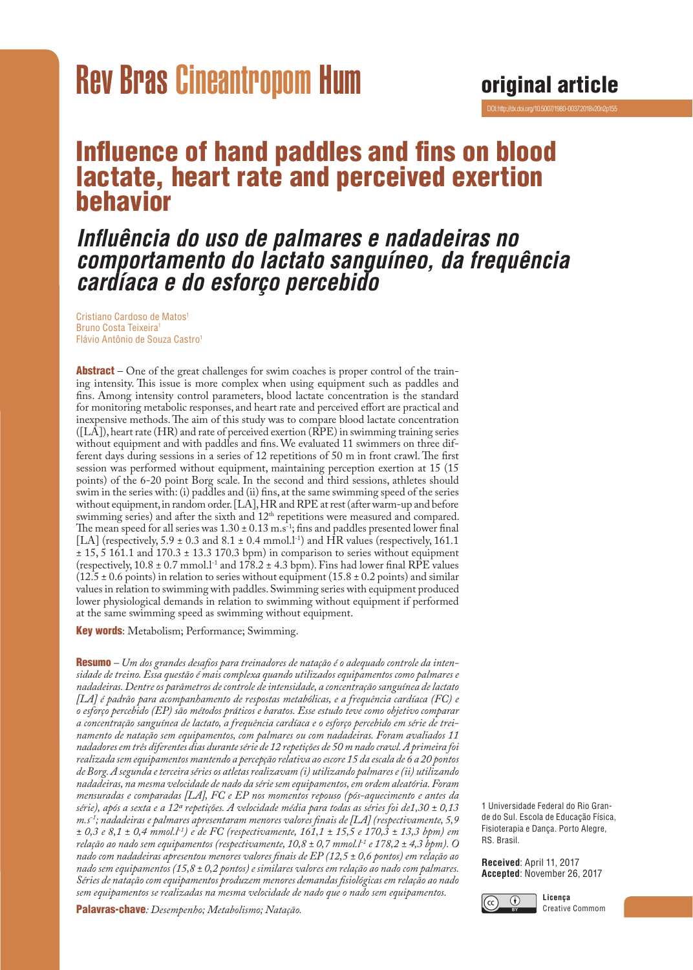# Rev Bras Cineantropom Hum

## original article

DOI: http://dx.doi.org/10.5007/1980-0037.2018v20n2p155

# Influence of hand paddles and fins on blood lactate, heart rate and perceived exertion behavior

## *Influência do uso de palmares e nadadeiras no comportamento do lactato sanguíneo, da frequência cardíaca e do esforço percebido*

Cristiano Cardoso de Matos<sup>1</sup> Bruno Costa Teixeira1 Flávio Antônio de Souza Castro<sup>1</sup>

**Abstract** – One of the great challenges for swim coaches is proper control of the training intensity. This issue is more complex when using equipment such as paddles and fins. Among intensity control parameters, blood lactate concentration is the standard for monitoring metabolic responses, and heart rate and perceived effort are practical and inexpensive methods. The aim of this study was to compare blood lactate concentration ([LA]), heart rate (HR) and rate of perceived exertion (RPE) in swimming training series without equipment and with paddles and fins. We evaluated 11 swimmers on three different days during sessions in a series of 12 repetitions of 50 m in front crawl. The first session was performed without equipment, maintaining perception exertion at 15 (15 points) of the 6-20 point Borg scale. In the second and third sessions, athletes should swim in the series with: (i) paddles and (ii) fins, at the same swimming speed of the series without equipment, in random order. [LA], HR and RPE at rest (after warm-up and before swimming series) and after the sixth and  $12<sup>th</sup>$  repetitions were measured and compared. The mean speed for all series was  $1.30 \pm 0.13$  m.s<sup>-1</sup>; fins and paddles presented lower final [LA] (respectively, 5.9  $\pm$  0.3 and 8.1  $\pm$  0.4 mmol.1<sup>-1</sup>) and HR values (respectively, 161.1  $\pm$  15, 5 161.1 and 170.3  $\pm$  13.3 170.3 bpm) in comparison to series without equipment (respectively,  $10.8 \pm 0.7$  mmol.l<sup>-1</sup> and  $178.2 \pm 4.3$  bpm). Fins had lower final RPE values  $(12.5 \pm 0.6 \text{ points})$  in relation to series without equipment  $(15.8 \pm 0.2 \text{ points})$  and similar values in relation to swimming with paddles. Swimming series with equipment produced lower physiological demands in relation to swimming without equipment if performed at the same swimming speed as swimming without equipment.

Key words: Metabolism; Performance; Swimming.

Resumo *– Um dos grandes desafios para treinadores de natação é o adequado controle da intensidade de treino. Essa questão é mais complexa quando utilizados equipamentos como palmares e nadadeiras. Dentre os parâmetros de controle de intensidade, a concentração sanguínea de lactato [LA] é padrão para acompanhamento de respostas metabólicas, e a frequência cardíaca (FC) e o esforço percebido (EP) são métodos práticos e baratos. Esse estudo teve como objetivocomparar a concentração sanguínea de lactato, a frequência cardíaca e o esforço percebido em série de treinamento de natação sem equipamentos, com palmares ou com nadadeiras. Foram avaliados 11 nadadores em três diferentes dias durante série de 12 repetições de 50 m nado crawl. A primeira foi realizada sem equipamentos mantendo a percepção relativa ao escore 15 da escala de 6 a 20 pontos de Borg. A segunda e terceira séries os atletas realizavam (i) utilizando palmares e (ii) utilizando nadadeiras, na mesma velocidade de nado da série sem equipamentos, em ordem aleatória. Foram mensuradas e comparadas [LA], FC e EP nos momentos repouso (pós-aquecimento e antes da série), após a sexta e a 12ª repetições. A velocidade média para todas as séries foi de1,30 ± 0,13 m.s-1; nadadeiras e palmares apresentaram menores valores finais de [LA] (respectivamente, 5,9 ± 0,3 e 8,1 ± 0,4 mmol.l-1) e de FC (respectivamente, 161,1 ± 15,5 e 170,3 ± 13,3 bpm) em relação ao nado sem equipamentos (respectivamente, 10,8 ± 0,7 mmol.l-1 e 178,2 ± 4,3 bpm). O nado com nadadeiras apresentou menores valores finais de EP (12,5 ± 0,6 pontos) em relação ao nado sem equipamentos (15,8 ± 0,2 pontos) e similares valores em relação ao nado com palmares. Séries de natação com equipamentos produzem menores demandas fisiológicas em relação ao nado sem equipamentos se realizadas na mesma velocidade de nado que o nado sem equipamentos.*

1 Universidade Federal do Rio Grande do Sul. Escola de Educação Física, Fisioterapia e Dança. Porto Alegre, RS. Brasil.

**Received**: April 11, 2017 **Accepted**: November 26, 2017



**Licença** Creative Commom

Palavras-chave*: Desempenho; Metabolismo; Natação.*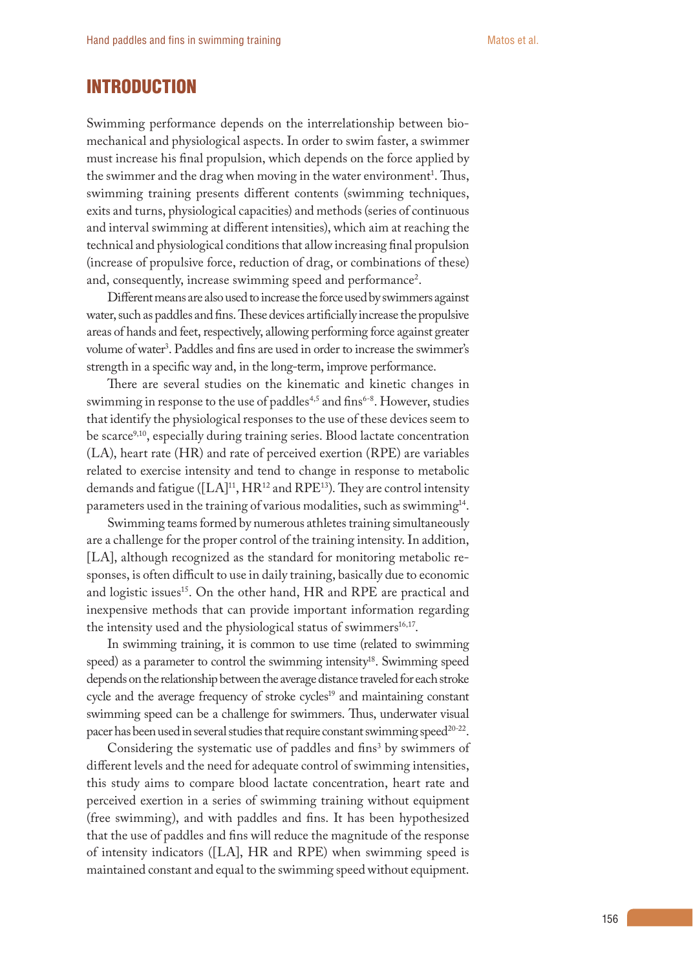#### INTRODUCTION

Swimming performance depends on the interrelationship between biomechanical and physiological aspects. In order to swim faster, a swimmer must increase his final propulsion, which depends on the force applied by the swimmer and the drag when moving in the water environment<sup>1</sup>. Thus, swimming training presents different contents (swimming techniques, exits and turns, physiological capacities) and methods (series of continuous and interval swimming at different intensities), which aim at reaching the technical and physiological conditions that allow increasing final propulsion (increase of propulsive force, reduction of drag, or combinations of these) and, consequently, increase swimming speed and performance<sup>2</sup>.

Different means are also used to increase the force used by swimmers against water, such as paddles and fins. These devices artificially increase the propulsive areas of hands and feet, respectively, allowing performing force against greater volume of water<sup>3</sup>. Paddles and fins are used in order to increase the swimmer's strength in a specific way and, in the long-term, improve performance.

There are several studies on the kinematic and kinetic changes in swimming in response to the use of paddles<sup>4,5</sup> and fins<sup>6-8</sup>. However, studies that identify the physiological responses to the use of these devices seem to be scarce<sup>9,10</sup>, especially during training series. Blood lactate concentration (LA), heart rate (HR) and rate of perceived exertion (RPE) are variables related to exercise intensity and tend to change in response to metabolic demands and fatigue ( $[LA]^{11}$ , HR<sup>12</sup> and RPE<sup>13</sup>). They are control intensity parameters used in the training of various modalities, such as swimming<sup>14</sup>.

Swimming teams formed by numerous athletes training simultaneously are a challenge for the proper control of the training intensity. In addition, [LA], although recognized as the standard for monitoring metabolic responses, is often difficult to use in daily training, basically due to economic and logistic issues<sup>15</sup>. On the other hand, HR and RPE are practical and inexpensive methods that can provide important information regarding the intensity used and the physiological status of swimmers<sup>16,17</sup>.

In swimming training, it is common to use time (related to swimming speed) as a parameter to control the swimming intensity<sup>18</sup>. Swimming speed depends on the relationship between the average distance traveled for each stroke cycle and the average frequency of stroke cycles<sup>19</sup> and maintaining constant swimming speed can be a challenge for swimmers. Thus, underwater visual pacer has been used in several studies that require constant swimming speed $20-22$ .

Considering the systematic use of paddles and fins<sup>3</sup> by swimmers of different levels and the need for adequate control of swimming intensities, this study aims to compare blood lactate concentration, heart rate and perceived exertion in a series of swimming training without equipment (free swimming), and with paddles and fins. It has been hypothesized that the use of paddles and fins will reduce the magnitude of the response of intensity indicators ([LA], HR and RPE) when swimming speed is maintained constant and equal to the swimming speed without equipment.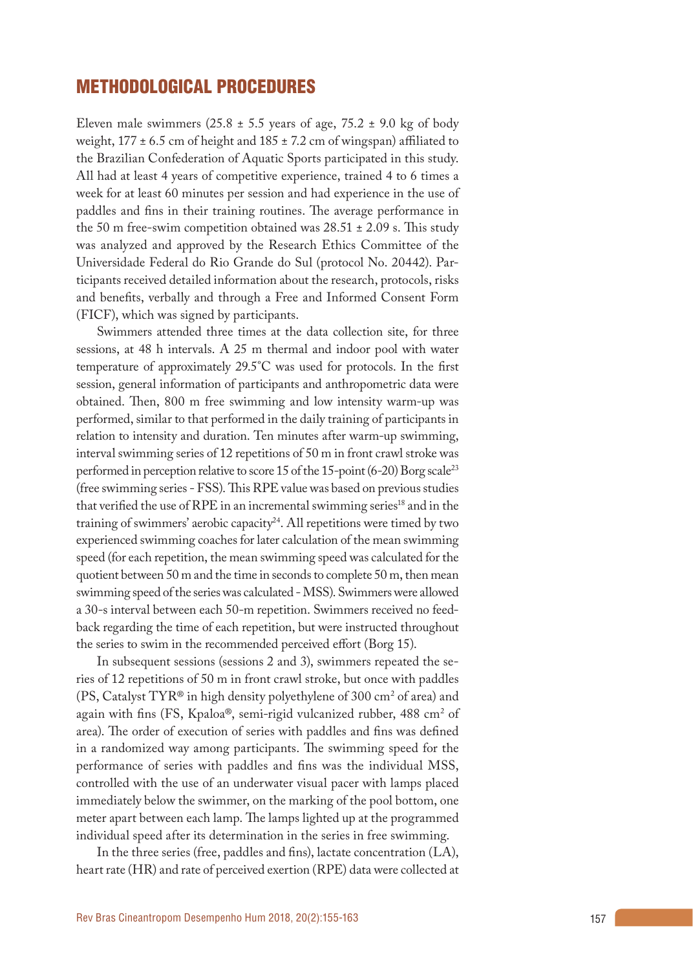### METHODOLOGICAL PROCEDURES

Eleven male swimmers  $(25.8 \pm 5.5$  years of age,  $75.2 \pm 9.0$  kg of body weight,  $177 \pm 6.5$  cm of height and  $185 \pm 7.2$  cm of wingspan) affiliated to the Brazilian Confederation of Aquatic Sports participated in this study. All had at least 4 years of competitive experience, trained 4 to 6 times a week for at least 60 minutes per session and had experience in the use of paddles and fins in their training routines. The average performance in the 50 m free-swim competition obtained was  $28.51 \pm 2.09$  s. This study was analyzed and approved by the Research Ethics Committee of the Universidade Federal do Rio Grande do Sul (protocol No. 20442). Participants received detailed information about the research, protocols, risks and benefits, verbally and through a Free and Informed Consent Form (FICF), which was signed by participants.

Swimmers attended three times at the data collection site, for three sessions, at 48 h intervals. A 25 m thermal and indoor pool with water temperature of approximately 29.5°C was used for protocols. In the first session, general information of participants and anthropometric data were obtained. Then, 800 m free swimming and low intensity warm-up was performed, similar to that performed in the daily training of participants in relation to intensity and duration. Ten minutes after warm-up swimming, interval swimming series of 12 repetitions of 50 m in front crawl stroke was performed in perception relative to score 15 of the 15-point (6-20) Borg scale<sup>23</sup> (free swimming series - FSS). This RPE value was based on previous studies that verified the use of RPE in an incremental swimming series<sup>18</sup> and in the training of swimmers' aerobic capacity<sup>24</sup>. All repetitions were timed by two experienced swimming coaches for later calculation of the mean swimming speed (for each repetition, the mean swimming speed was calculated for the quotient between 50 m and the time in seconds to complete 50 m, then mean swimming speed of the series was calculated - MSS). Swimmers were allowed a 30-s interval between each 50-m repetition. Swimmers received no feedback regarding the time of each repetition, but were instructed throughout the series to swim in the recommended perceived effort (Borg 15).

In subsequent sessions (sessions 2 and 3), swimmers repeated the series of 12 repetitions of 50 m in front crawl stroke, but once with paddles (PS, Catalyst  $TYR^{\circledast}$  in high density polyethylene of 300 cm<sup>2</sup> of area) and again with fins (FS, Kpaloa®, semi-rigid vulcanized rubber, 488 cm<sup>2</sup> of area). The order of execution of series with paddles and fins was defined in a randomized way among participants. The swimming speed for the performance of series with paddles and fins was the individual MSS, controlled with the use of an underwater visual pacer with lamps placed immediately below the swimmer, on the marking of the pool bottom, one meter apart between each lamp. The lamps lighted up at the programmed individual speed after its determination in the series in free swimming.

In the three series (free, paddles and fins), lactate concentration (LA), heart rate (HR) and rate of perceived exertion (RPE) data were collected at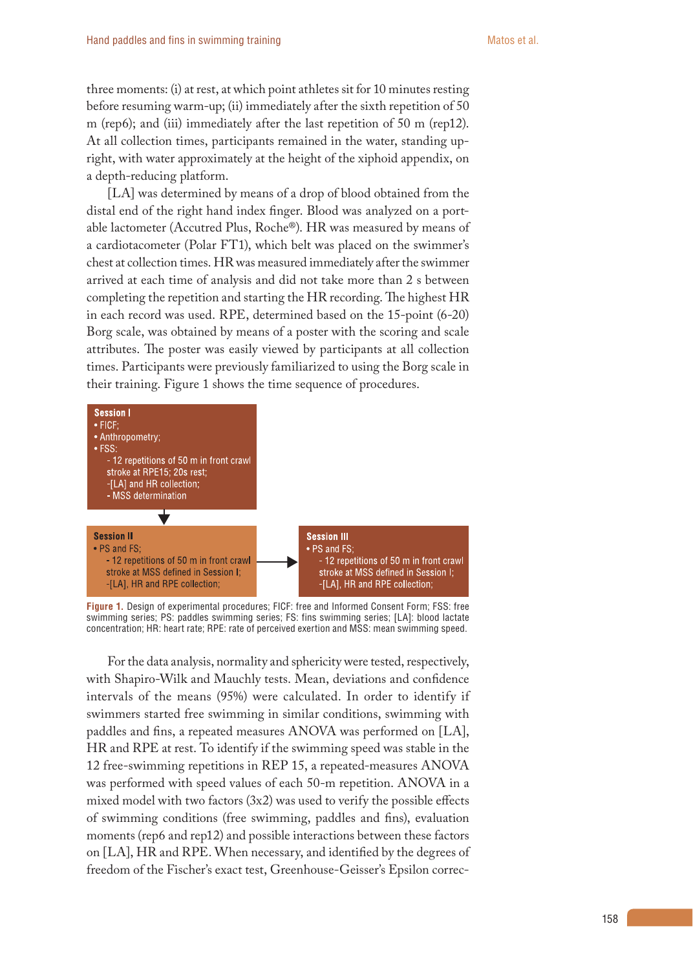three moments: (i) at rest, at which point athletes sit for 10 minutes resting before resuming warm-up; (ii) immediately after the sixth repetition of 50 m (rep6); and (iii) immediately after the last repetition of 50 m (rep12). At all collection times, participants remained in the water, standing upright, with water approximately at the height of the xiphoid appendix, on a depth-reducing platform.

[LA] was determined by means of a drop of blood obtained from the distal end of the right hand index finger. Blood was analyzed on a portable lactometer (Accutred Plus, Roche®). HR was measured by means of a cardiotacometer (Polar FT1), which belt was placed on the swimmer's chest at collection times. HR was measured immediately after the swimmer arrived at each time of analysis and did not take more than 2 s between completing the repetition and starting the HR recording. The highest HR in each record was used. RPE, determined based on the 15-point (6-20) Borg scale, was obtained by means of a poster with the scoring and scale attributes. The poster was easily viewed by participants at all collection times. Participants were previously familiarized to using the Borg scale in their training. Figure 1 shows the time sequence of procedures.



**Figure 1.** Design of experimental procedures; FICF: free and Informed Consent Form; FSS: free swimming series; PS: paddles swimming series; FS: fins swimming series; [LA]: blood lactate concentration; HR: heart rate; RPE: rate of perceived exertion and MSS: mean swimming speed.

For the data analysis, normality and sphericity were tested, respectively, with Shapiro-Wilk and Mauchly tests. Mean, deviations and confidence intervals of the means (95%) were calculated. In order to identify if swimmers started free swimming in similar conditions, swimming with paddles and fins, a repeated measures ANOVA was performed on [LA], HR and RPE at rest. To identify if the swimming speed was stable in the 12 free-swimming repetitions in REP 15, a repeated-measures ANOVA was performed with speed values of each 50-m repetition. ANOVA in a mixed model with two factors (3x2) was used to verify the possible effects of swimming conditions (free swimming, paddles and fins), evaluation moments (rep6 and rep12) and possible interactions between these factors on [LA], HR and RPE. When necessary, and identified by the degrees of freedom of the Fischer's exact test, Greenhouse-Geisser's Epsilon correc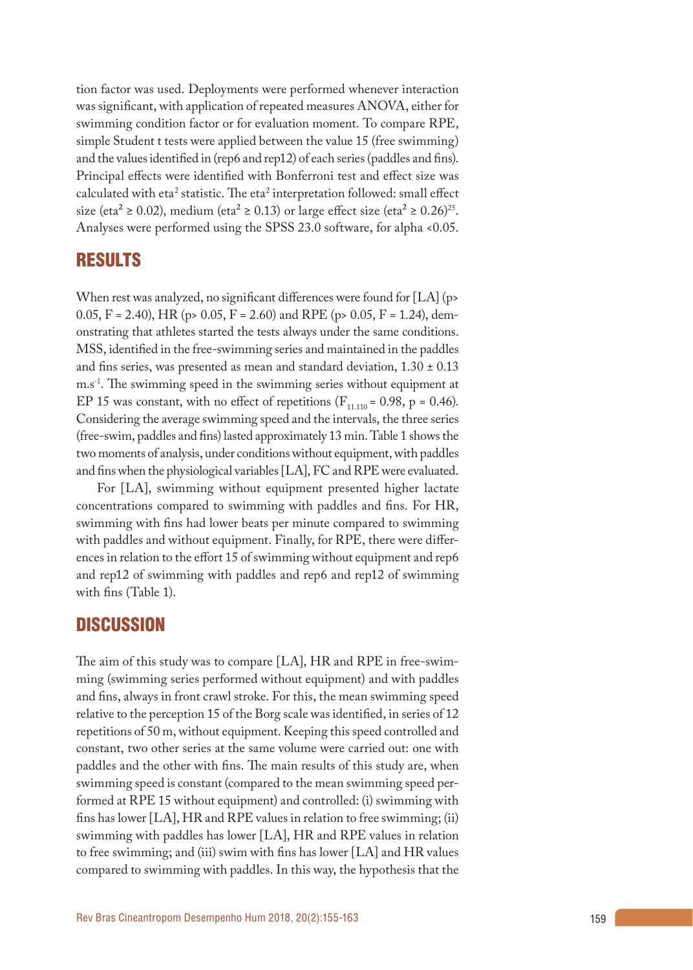tion factor was used. Deployments were performed whenever interaction was significant, with application of repeated measures ANOVA, either for swimming condition factor or for evaluation moment. To compare RPE, simple Student t tests were applied between the value 15 (free swimming) and the values identified in (rep6 and rep12) of each series (paddles and fins). Principal effects were identified with Bonferroni test and effect size was calculated with eta<sup>2</sup> statistic. The eta<sup>2</sup> interpretation followed: small effect size (eta<sup>2</sup>  $\geq$  0.02), medium (eta<sup>2</sup>  $\geq$  0.13) or large effect size (eta<sup>2</sup>  $\geq$  0.26)<sup>25</sup>. Analyses were performed using the SPSS 23.0 software, for alpha <0.05.

## RESULTS

When rest was analyzed, no significant differences were found for [LA] (p> 0.05, F = 2.40), HR (p> 0.05, F = 2.60) and RPE (p> 0.05, F = 1.24), demonstrating that athletes started the tests always under the same conditions. MSS, identified in the free-swimming series and maintained in the paddles and fins series, was presented as mean and standard deviation,  $1.30 \pm 0.13$ m.s-1. The swimming speed in the swimming series without equipment at EP 15 was constant, with no effect of repetitions  $(F_{11,110} = 0.98, p = 0.46)$ . Considering the average swimming speed and the intervals, the three series (free-swim, paddles and fins) lasted approximately 13 min. Table 1 shows the two moments of analysis, under conditions without equipment, with paddles and fins when the physiological variables [LA], FC and RPE were evaluated.

For [LA], swimming without equipment presented higher lactate concentrations compared to swimming with paddles and fins. For HR, swimming with fins had lower beats per minute compared to swimming with paddles and without equipment. Finally, for RPE, there were differences in relation to the effort 15 of swimming without equipment and rep6 and rep12 of swimming with paddles and rep6 and rep12 of swimming with fins (Table 1).

### DISCUSSION

The aim of this study was to compare [LA], HR and RPE in free-swimming (swimming series performed without equipment) and with paddles and fins, always in front crawl stroke. For this, the mean swimming speed relative to the perception 15 of the Borg scale was identified, in series of 12 repetitions of 50 m, without equipment. Keeping this speed controlled and constant, two other series at the same volume were carried out: one with paddles and the other with fins. The main results of this study are, when swimming speed is constant (compared to the mean swimming speed performed at RPE 15 without equipment) and controlled: (i) swimming with fins has lower [LA], HR and RPE values in relation to free swimming; (ii) swimming with paddles has lower [LA], HR and RPE values in relation to free swimming; and (iii) swim with fins has lower [LA] and HR values compared to swimming with paddles. In this way, the hypothesis that the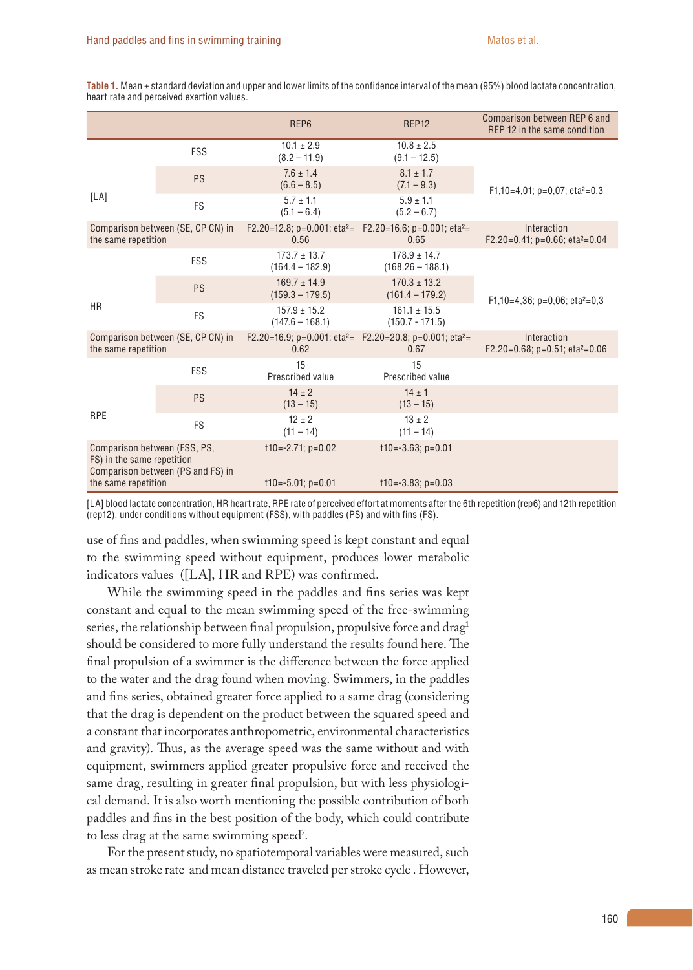|                                                                                                 |            | REP6                                  | REP <sub>12</sub>                                                                       | Comparison between REP 6 and<br>REP 12 in the same condition |
|-------------------------------------------------------------------------------------------------|------------|---------------------------------------|-----------------------------------------------------------------------------------------|--------------------------------------------------------------|
| [LA]                                                                                            | <b>FSS</b> | $10.1 \pm 2.9$<br>$(8.2 - 11.9)$      | $10.8 \pm 2.5$<br>$(9.1 - 12.5)$                                                        | F1,10=4,01; p=0,07; eta <sup>2</sup> =0,3                    |
|                                                                                                 | <b>PS</b>  | $7.6 \pm 1.4$<br>$(6.6 - 8.5)$        | $8.1 \pm 1.7$<br>$(7.1 - 9.3)$                                                          |                                                              |
|                                                                                                 | <b>FS</b>  | $5.7 \pm 1.1$<br>$(5.1 - 6.4)$        | $5.9 \pm 1.1$<br>$(5.2 - 6.7)$                                                          |                                                              |
| Comparison between (SE, CP CN) in<br>the same repetition                                        |            | 0.56                                  | F2.20=12.8; p=0.001; eta <sup>2</sup> = F2.20=16.6; p=0.001; eta <sup>2</sup> =<br>0.65 | Interaction<br>F2.20=0.41; $p=0.66$ ; eta <sup>2</sup> =0.04 |
| HR.                                                                                             | <b>FSS</b> | $173.7 \pm 13.7$<br>$(164.4 - 182.9)$ | $178.9 \pm 14.7$<br>$(168.26 - 188.1)$                                                  | F1,10=4,36; p=0,06; eta <sup>2</sup> =0,3                    |
|                                                                                                 | <b>PS</b>  | $169.7 \pm 14.9$<br>$(159.3 - 179.5)$ | $170.3 \pm 13.2$<br>$(161.4 - 179.2)$                                                   |                                                              |
|                                                                                                 | <b>FS</b>  | $157.9 \pm 15.2$<br>$(147.6 - 168.1)$ | $161.1 \pm 15.5$<br>$(150.7 - 171.5)$                                                   |                                                              |
| Comparison between (SE, CP CN) in<br>the same repetition                                        |            | 0.62                                  | F2.20=16.9; p=0.001; eta <sup>2</sup> = F2.20=20.8; p=0.001; eta <sup>2</sup> =<br>0.67 | Interaction<br>F2.20=0.68; p=0.51; eta <sup>2</sup> =0.06    |
| <b>RPE</b>                                                                                      | <b>FSS</b> | 15<br>Prescribed value                | 15<br>Prescribed value                                                                  |                                                              |
|                                                                                                 | <b>PS</b>  | $14 \pm 2$<br>$(13 - 15)$             | $14 \pm 1$<br>$(13 - 15)$                                                               |                                                              |
|                                                                                                 | <b>FS</b>  | $12 \pm 2$<br>$(11 - 14)$             | $13 \pm 2$<br>$(11 - 14)$                                                               |                                                              |
| Comparison between (FSS, PS,<br>FS) in the same repetition<br>Comparison between (PS and FS) in |            | t10=-2.71; $p=0.02$                   | t10=-3.63; $p=0.01$                                                                     |                                                              |
| the same repetition                                                                             |            | t10= $-5.01$ ; p=0.01                 | $t10=-3.83; p=0.03$                                                                     |                                                              |

**Table 1.** Mean ± standard deviation and upper and lower limits of the confidence interval of the mean (95%) blood lactate concentration, heart rate and perceived exertion values.

[LA] blood lactate concentration, HR heart rate, RPE rate of perceived effort at moments after the 6th repetition (rep6) and 12th repetition (rep12), under conditions without equipment (FSS), with paddles (PS) and with fins (FS).

use of fins and paddles, when swimming speed is kept constant and equal to the swimming speed without equipment, produces lower metabolic indicators values ([LA], HR and RPE) was confirmed.

While the swimming speed in the paddles and fins series was kept constant and equal to the mean swimming speed of the free-swimming series, the relationship between final propulsion, propulsive force and drag<sup>1</sup> should be considered to more fully understand the results found here. The final propulsion of a swimmer is the difference between the force applied to the water and the drag found when moving. Swimmers, in the paddles and fins series, obtained greater force applied to a same drag (considering that the drag is dependent on the product between the squared speed and a constant that incorporates anthropometric, environmental characteristics and gravity). Thus, as the average speed was the same without and with equipment, swimmers applied greater propulsive force and received the same drag, resulting in greater final propulsion, but with less physiological demand. It is also worth mentioning the possible contribution of both paddles and fins in the best position of the body, which could contribute to less drag at the same swimming speed7 .

For the present study, no spatiotemporal variables were measured, such as mean stroke rate and mean distance traveled per stroke cycle . However,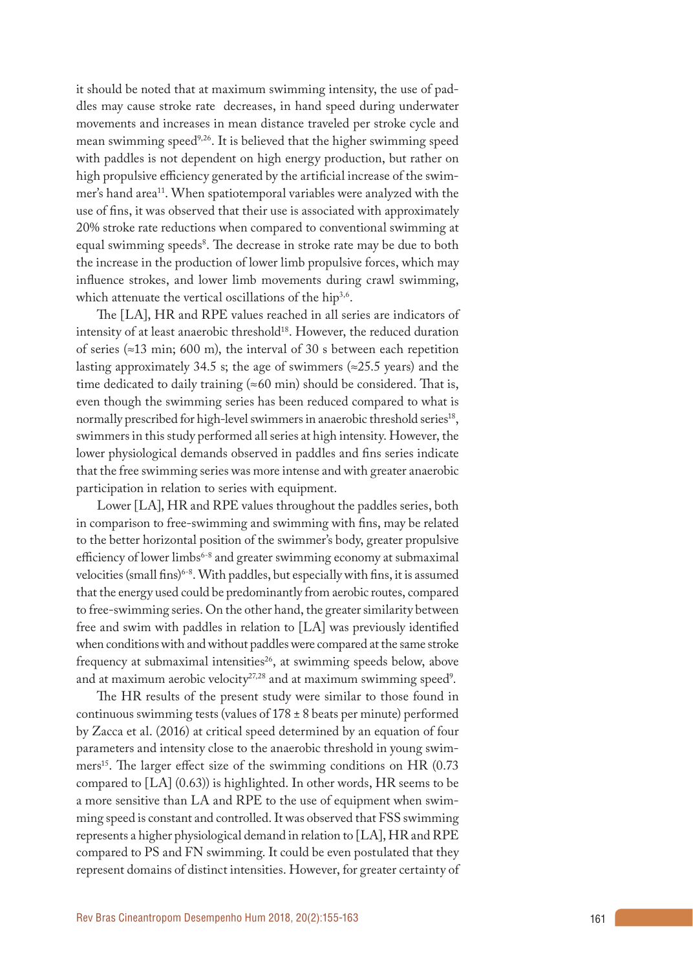it should be noted that at maximum swimming intensity, the use of paddles may cause stroke rate decreases, in hand speed during underwater movements and increases in mean distance traveled per stroke cycle and mean swimming speed<sup>9,26</sup>. It is believed that the higher swimming speed with paddles is not dependent on high energy production, but rather on high propulsive efficiency generated by the artificial increase of the swimmer's hand area<sup>11</sup>. When spatiotemporal variables were analyzed with the use of fins, it was observed that their use is associated with approximately 20% stroke rate reductions when compared to conventional swimming at equal swimming speeds<sup>8</sup>. The decrease in stroke rate may be due to both the increase in the production of lower limb propulsive forces, which may influence strokes, and lower limb movements during crawl swimming, which attenuate the vertical oscillations of the hip<sup>3,6</sup>.

The [LA], HR and RPE values reached in all series are indicators of intensity of at least anaerobic threshold<sup>18</sup>. However, the reduced duration of series (≈13 min; 600 m), the interval of 30 s between each repetition lasting approximately 34.5 s; the age of swimmers ( $\approx$ 25.5 years) and the time dedicated to daily training ( $\approx 60$  min) should be considered. That is, even though the swimming series has been reduced compared to what is normally prescribed for high-level swimmers in anaerobic threshold series<sup>18</sup>, swimmers in this study performed all series at high intensity. However, the lower physiological demands observed in paddles and fins series indicate that the free swimming series was more intense and with greater anaerobic participation in relation to series with equipment.

Lower [LA], HR and RPE values throughout the paddles series, both in comparison to free-swimming and swimming with fins, may be related to the better horizontal position of the swimmer's body, greater propulsive efficiency of lower limbs<sup>6-8</sup> and greater swimming economy at submaximal velocities (small fins)<sup>6-8</sup>. With paddles, but especially with fins, it is assumed that the energy used could be predominantly from aerobic routes, compared to free-swimming series. On the other hand, the greater similarity between free and swim with paddles in relation to [LA] was previously identified when conditions with and without paddles were compared at the same stroke frequency at submaximal intensities<sup>26</sup>, at swimming speeds below, above and at maximum aerobic velocity $^{27,28}$  and at maximum swimming speed $^9$ .

The HR results of the present study were similar to those found in continuous swimming tests (values of  $178 \pm 8$  beats per minute) performed by Zacca et al. (2016) at critical speed determined by an equation of four parameters and intensity close to the anaerobic threshold in young swimmers<sup>15</sup>. The larger effect size of the swimming conditions on  $HR(0.73)$ compared to [LA] (0.63)) is highlighted. In other words, HR seems to be a more sensitive than LA and RPE to the use of equipment when swimming speed is constant and controlled. It was observed that FSS swimming represents a higher physiological demand in relation to [LA], HR and RPE compared to PS and FN swimming. It could be even postulated that they represent domains of distinct intensities. However, for greater certainty of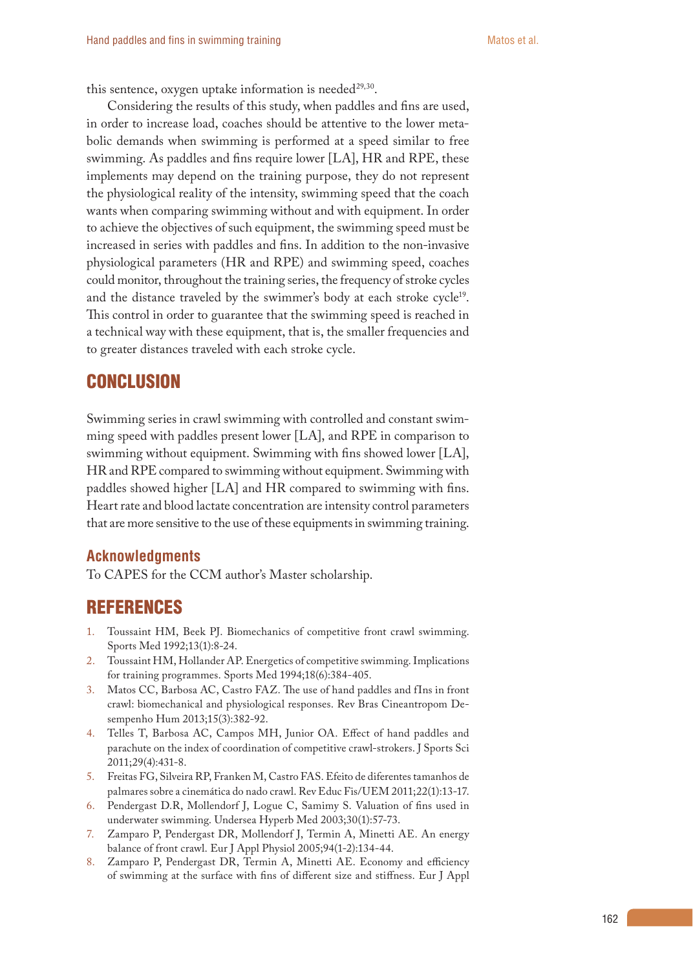this sentence, oxygen uptake information is needed $29,30$ .

Considering the results of this study, when paddles and fins are used, in order to increase load, coaches should be attentive to the lower metabolic demands when swimming is performed at a speed similar to free swimming. As paddles and fins require lower [LA], HR and RPE, these implements may depend on the training purpose, they do not represent the physiological reality of the intensity, swimming speed that the coach wants when comparing swimming without and with equipment. In order to achieve the objectives of such equipment, the swimming speed must be increased in series with paddles and fins. In addition to the non-invasive physiological parameters (HR and RPE) and swimming speed, coaches could monitor, throughout the training series, the frequency of stroke cycles and the distance traveled by the swimmer's body at each stroke cycle<sup>19</sup>. This control in order to guarantee that the swimming speed is reached in a technical way with these equipment, that is, the smaller frequencies and to greater distances traveled with each stroke cycle.

#### CONCLUSION

Swimming series in crawl swimming with controlled and constant swimming speed with paddles present lower [LA], and RPE in comparison to swimming without equipment. Swimming with fins showed lower [LA], HR and RPE compared to swimming without equipment. Swimming with paddles showed higher [LA] and HR compared to swimming with fins. Heart rate and blood lactate concentration are intensity control parameters that are more sensitive to the use of these equipments in swimming training.

#### **Acknowledgments**

To CAPES for the CCM author's Master scholarship.

#### REFERENCES

- 1. Toussaint HM, Beek PJ. Biomechanics of competitive front crawl swimming. Sports Med 1992;13(1):8-24.
- 2. [Toussaint HM](https://www.ncbi.nlm.nih.gov/pubmed/?term=Toussaint HM%5BAuthor%5D&cauthor=true&cauthor_uid=7886354), [Hollander AP](https://www.ncbi.nlm.nih.gov/pubmed/?term=Hollander AP%5BAuthor%5D&cauthor=true&cauthor_uid=7886354). Energetics of competitive swimming. Implications for training programmes. [Sports Med](https://www.ncbi.nlm.nih.gov/pubmed/7886354) 1994;18(6):384-405.
- 3. Matos CC, Barbosa AC, Castro FAZ. The use of hand paddles and fIns in front crawl: biomechanical and physiological responses. Rev Bras Cineantropom Desempenho Hum 2013;15(3):382-92.
- 4. Telles T, Barbosa AC, Campos MH, Junior OA. Effect of hand paddles and parachute on the index of coordination of competitive crawl-strokers. J Sports Sci 2011;29(4):431-8.
- 5. Freitas FG, Silveira RP, Franken M, Castro FAS. Efeito de diferentes tamanhos de palmares sobre a cinemática do nado crawl. Rev Educ Fis/UEM 2011;22(1):13-17.
- 6. Pendergast D.R, Mollendorf J, Logue C, Samimy S. Valuation of fins used in underwater swimming. Undersea Hyperb Med 2003;30(1):57-73.
- 7. Zamparo P, Pendergast DR, Mollendorf J, Termin A, Minetti AE. An energy balance of front crawl. Eur J Appl Physiol 2005;94(1-2):134-44.
- 8. Zamparo P, Pendergast DR, Termin A, Minetti AE. Economy and efficiency of swimming at the surface with fins of different size and stiffness. Eur J Appl